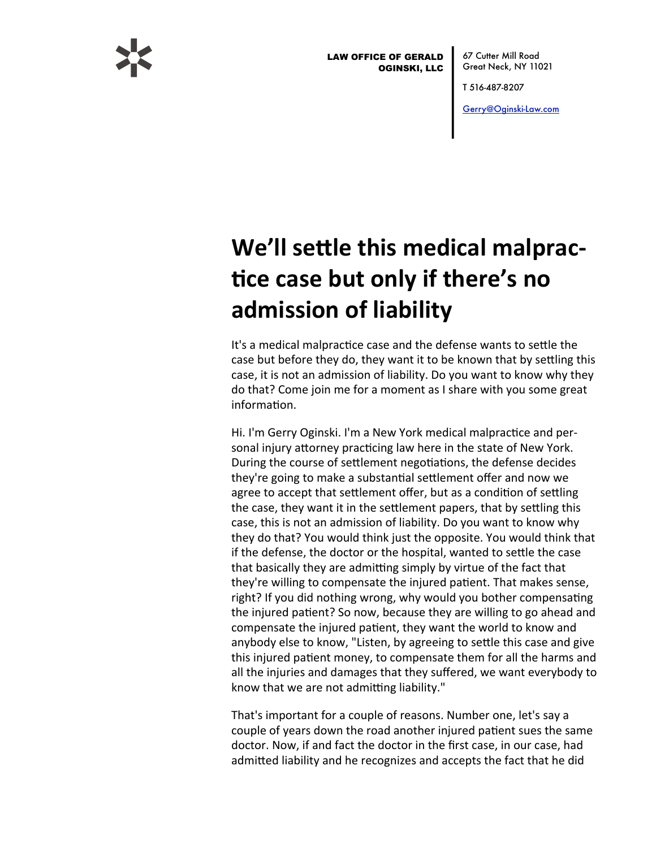

**LAW OFFICE OF GERALD OGINSKI, LLC** 

67 Cutter Mill Road Great Neck, NY 11021

T 516-487-8207

Gerry@Oginski-Law.com

## We'll settle this medical malpractice case but only if there's no admission of liability

It's a medical malpractice case and the defense wants to settle the case but before they do, they want it to be known that by settling this case, it is not an admission of liability. Do you want to know why they do that? Come join me for a moment as I share with you some great information.

Hi. I'm Gerry Oginski. I'm a New York medical malpractice and personal injury attorney practicing law here in the state of New York. During the course of settlement negotiations, the defense decides they're going to make a substantial settlement offer and now we agree to accept that settlement offer, but as a condition of settling the case, they want it in the settlement papers, that by settling this case, this is not an admission of liability. Do you want to know why they do that? You would think just the opposite. You would think that if the defense, the doctor or the hospital, wanted to settle the case that basically they are admitting simply by virtue of the fact that they're willing to compensate the injured patient. That makes sense, right? If you did nothing wrong, why would you bother compensating the injured patient? So now, because they are willing to go ahead and compensate the injured patient, they want the world to know and anybody else to know, "Listen, by agreeing to settle this case and give this injured patient money, to compensate them for all the harms and all the injuries and damages that they suffered, we want everybody to know that we are not admitting liability."

That's important for a couple of reasons. Number one, let's say a couple of years down the road another injured patient sues the same doctor. Now, if and fact the doctor in the first case, in our case, had admitted liability and he recognizes and accepts the fact that he did